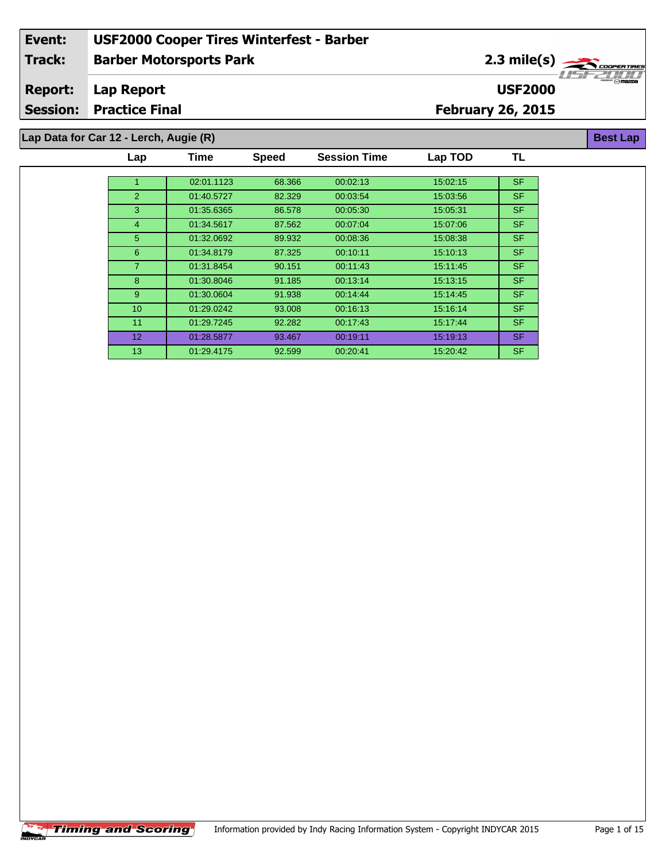# **Barber Motorsports Park Event: USF2000 Cooper Tires Winterfest - Barber Track:**

**USF2000**

**Session: Practice Final**

**Report:**

# **February 26, 2015**

**Lap Data for Car 12 - Lerch, Augie (R)**

**Lap Report**

| Lap             | <b>Time</b> | <b>Speed</b> | <b>Session Time</b> | Lap TOD  | TL        |
|-----------------|-------------|--------------|---------------------|----------|-----------|
|                 |             |              |                     |          |           |
| $\mathbf{1}$    | 02:01.1123  | 68.366       | 00:02:13            | 15:02:15 | <b>SF</b> |
| 2               | 01:40.5727  | 82.329       | 00:03:54            | 15:03:56 | <b>SF</b> |
| 3               | 01:35.6365  | 86.578       | 00:05:30            | 15:05:31 | <b>SF</b> |
| $\overline{4}$  | 01:34.5617  | 87.562       | 00:07:04            | 15:07:06 | <b>SF</b> |
| 5 <sup>5</sup>  | 01:32.0692  | 89.932       | 00:08:36            | 15:08:38 | <b>SF</b> |
| 6               | 01:34.8179  | 87.325       | 00:10:11            | 15:10:13 | <b>SF</b> |
| $\overline{7}$  | 01:31.8454  | 90.151       | 00:11:43            | 15:11:45 | SF.       |
| 8               | 01:30.8046  | 91.185       | 00:13:14            | 15:13:15 | <b>SF</b> |
| $9^{\circ}$     | 01:30.0604  | 91.938       | 00:14:44            | 15:14:45 | SF.       |
| 10 <sup>°</sup> | 01:29.0242  | 93.008       | 00:16:13            | 15:16:14 | <b>SF</b> |
| 11              | 01:29.7245  | 92.282       | 00:17:43            | 15.17.44 | <b>SF</b> |
| 12 <sup>2</sup> | 01:28.5877  | 93.467       | 00:19:11            | 15:19:13 | <b>SF</b> |
| 13 <sup>2</sup> | 01:29.4175  | 92.599       | 00:20:41            | 15:20:42 | SF.       |



**Best Lap**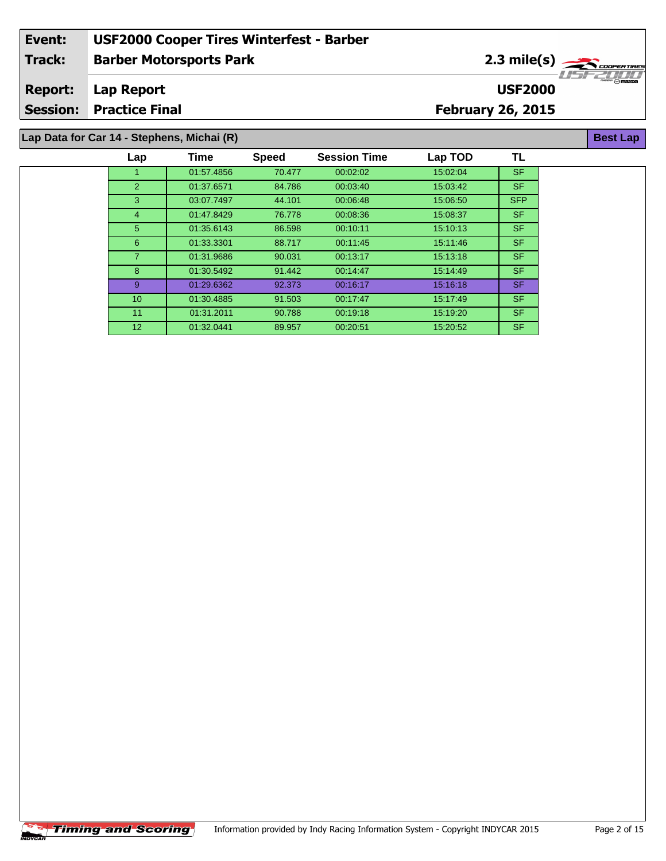#### **Barber Motorsports Park Lap Report February 26, 2015 Event: USF2000 Cooper Tires Winterfest - Barber Track: Report: Session: Practice Final USF2000** 2.3 mile(s) **Best Lap Lap Data for Car 14 - Stephens, Michai (R)**

| Lap             | Time       | <b>Speed</b> | <b>Session Time</b> | Lap TOD  | TL         |  |
|-----------------|------------|--------------|---------------------|----------|------------|--|
|                 | 01:57.4856 | 70.477       | 00:02:02            | 15:02:04 | <b>SF</b>  |  |
| 2               | 01:37.6571 | 84.786       | 00:03:40            | 15:03:42 | <b>SF</b>  |  |
| 3               | 03:07.7497 | 44.101       | 00:06:48            | 15:06:50 | <b>SFP</b> |  |
| 4               | 01:47.8429 | 76.778       | 00:08:36            | 15:08:37 | <b>SF</b>  |  |
| 5 <sup>5</sup>  | 01:35.6143 | 86.598       | 00:10:11            | 15:10:13 | SF.        |  |
| $6^{\circ}$     | 01:33.3301 | 88.717       | 00:11:45            | 15:11:46 | <b>SF</b>  |  |
|                 | 01:31.9686 | 90.031       | 00:13:17            | 15:13:18 | SF.        |  |
| 8               | 01:30.5492 | 91.442       | 00:14:47            | 15:14:49 | SF.        |  |
| 9               | 01:29.6362 | 92.373       | 00:16:17            | 15.16.18 | SF.        |  |
| 10 <sup>°</sup> | 01:30.4885 | 91.503       | 00.17.47            | 15:17:49 | SF.        |  |
| 11              | 01:31.2011 | 90.788       | 00:19:18            | 15:19:20 | SF.        |  |
| 12 <sup>2</sup> | 01:32.0441 | 89.957       | 00:20:51            | 15:20:52 | SF.        |  |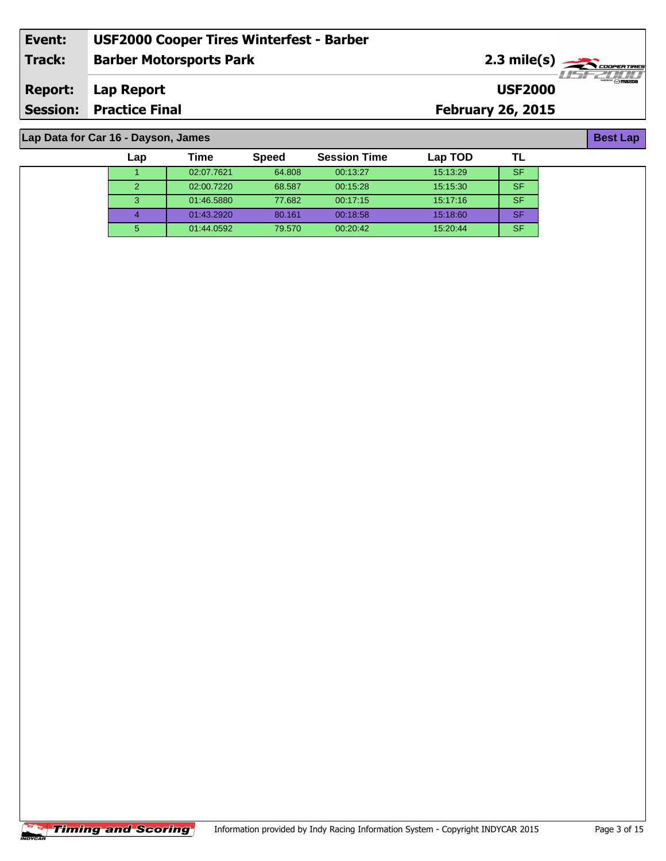| Event:         | <b>USF2000 Cooper Tires Winterfest - Barber</b> |                                                 |                        |
|----------------|-------------------------------------------------|-------------------------------------------------|------------------------|
| Track:         | <b>Barber Motorsports Park</b>                  | $2.3$ mile(s) $\rightarrow$ $\sim$ coorer TIRES | <i>. I LEET III II</i> |
| <b>Report:</b> | Lap Report                                      | <b>USF2000</b>                                  | $\odot$ mazna          |
|                | <b>Session: Practice Final</b>                  | <b>February 26, 2015</b>                        |                        |
|                |                                                 |                                                 |                        |

1 02:07.7621 64.808 00:13:27 15:13:29 SF 02:00.7220 68.587 00:15:28 15:15:30 SF 01:46.5880 77.682 00:17:15 15:17:16 SF 01:43.2920 80.161 00:18:58 15:18:60 SF 01:44.0592 79.570 00:20:42 15:20:44 SF

**Lap Time Speed Session Time Lap TOD**

## **Lap Data for Car 16 - Dayson, James**

**TL**

| iming and Scoring |
|-------------------|
|                   |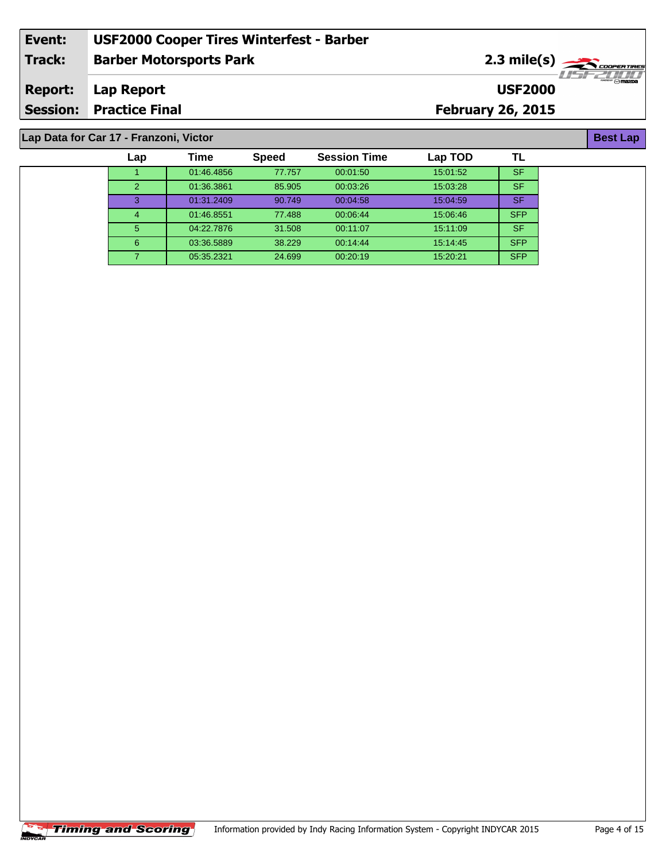| Event:         | <b>USF2000 Cooper Tires Winterfest - Barber</b> |                                                                                                                                                                                                                                                                                                                                                                                                                                   |
|----------------|-------------------------------------------------|-----------------------------------------------------------------------------------------------------------------------------------------------------------------------------------------------------------------------------------------------------------------------------------------------------------------------------------------------------------------------------------------------------------------------------------|
| Track:         | <b>Barber Motorsports Park</b>                  | $2.3$ mile(s) $\overbrace{\hspace{2.5cm}}$ $\overbrace{\hspace{2.5cm}}$ $\overbrace{\hspace{2.5cm}}$ $\overbrace{\hspace{2.5cm}}$ $\overbrace{\hspace{2.5cm}}$ $\overbrace{\hspace{2.5cm}}$ $\overbrace{\hspace{2.5cm}}$ $\overbrace{\hspace{2.5cm}}$ $\overbrace{\hspace{2.5cm}}$ $\overbrace{\hspace{2.5cm}}$ $\overbrace{\hspace{2.5cm}}$ $\overbrace{\hspace{2.5cm}}$ $\overbrace{\hspace{2.5cm}}$ $\overbrace{\hspace{2.5cm$ |
| <b>Report:</b> | Lap Report                                      | $\odot$ mazna<br><b>USF2000</b>                                                                                                                                                                                                                                                                                                                                                                                                   |
|                | <b>Session: Practice Final</b>                  | <b>February 26, 2015</b>                                                                                                                                                                                                                                                                                                                                                                                                          |
|                |                                                 |                                                                                                                                                                                                                                                                                                                                                                                                                                   |

## **Lap Data for Car 17 - Franzoni, Victor**

| Lap           | Time       | <b>Speed</b> | <b>Session Time</b> | Lap TOD  |            |
|---------------|------------|--------------|---------------------|----------|------------|
|               | 01:46.4856 | 77.757       | 00:01:50            | 15:01:52 | <b>SF</b>  |
| $\mathcal{P}$ | 01:36.3861 | 85.905       | 00:03:26            | 15:03:28 | <b>SF</b>  |
| 3             | 01:31.2409 | 90.749       | 00:04:58            | 15:04:59 | <b>SF</b>  |
| 4             | 01:46.8551 | 77.488       | 00:06:44            | 15:06:46 | <b>SFP</b> |
| 5             | 04:22.7876 | 31.508       | 00:11:07            | 15:11:09 | <b>SF</b>  |
| 6             | 03:36.5889 | 38.229       | 00:14:44            | 15:14:45 | <b>SFP</b> |
|               | 05:35.2321 | 24.699       | 00:20:19            | 15:20:21 | <b>SFP</b> |



**Best Lap**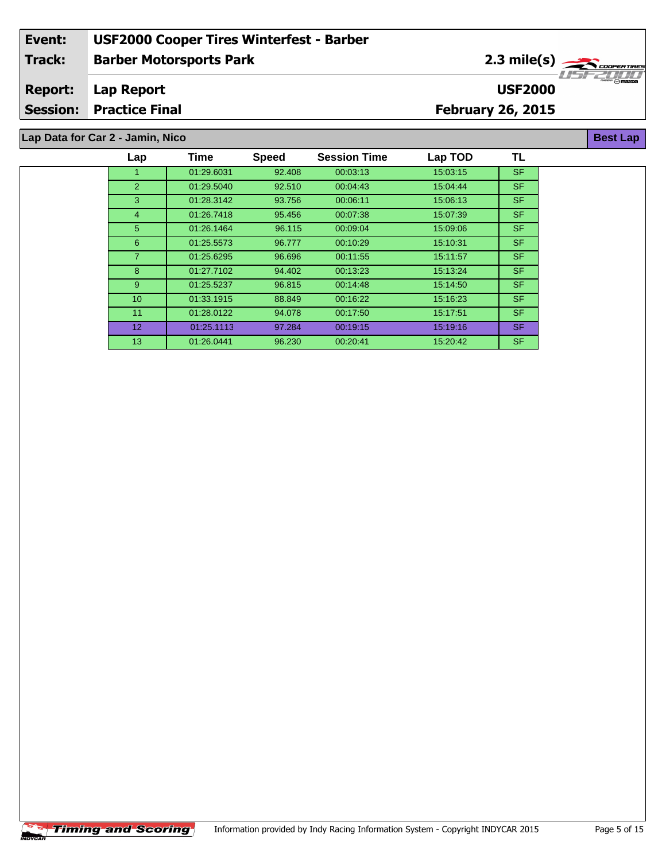#### **Barber Motorsports Park Lap Report February 26, 2015 Event: USF2000 Cooper Tires Winterfest - Barber Track: Report: Session: Practice Final USF2000** 2.3 mile(s) **Best Lap Lap Data for Car 2 - Jamin, Nico**

| Lap            | Time       | <b>Speed</b> | <b>Session Time</b> | Lap TOD  | TL        |
|----------------|------------|--------------|---------------------|----------|-----------|
|                | 01:29.6031 | 92.408       | 00:03:13            | 15:03:15 | <b>SF</b> |
| $\overline{2}$ | 01:29.5040 | 92.510       | 00:04:43            | 15:04:44 | <b>SF</b> |
| 3              | 01:28.3142 | 93.756       | 00:06:11            | 15:06:13 | SF.       |
| 4              | 01:26.7418 | 95.456       | 00:07:38            | 15:07:39 | SF.       |
| 5 <sup>5</sup> | 01:26.1464 | 96.115       | 00:09:04            | 15:09:06 | <b>SF</b> |
| 6              | 01:25.5573 | 96.777       | 00:10:29            | 15:10:31 | SF.       |
| $\overline{7}$ | 01:25.6295 | 96.696       | 00:11:55            | 15:11:57 | SF.       |
| 8              | 01:27.7102 | 94.402       | 00:13:23            | 15:13:24 | SF.       |
| 9              | 01:25.5237 | 96.815       | 00:14:48            | 15:14:50 | SF.       |
| 10             | 01:33.1915 | 88.849       | 00:16:22            | 15:16:23 | SF.       |
| 11             | 01:28.0122 | 94.078       | 00:17:50            | 15:17:51 | SF.       |
| 12             | 01:25.1113 | 97.284       | 00:19:15            | 15:19:16 | SF.       |
| 13             | 01:26.0441 | 96.230       | 00:20:41            | 15:20:42 | SF.       |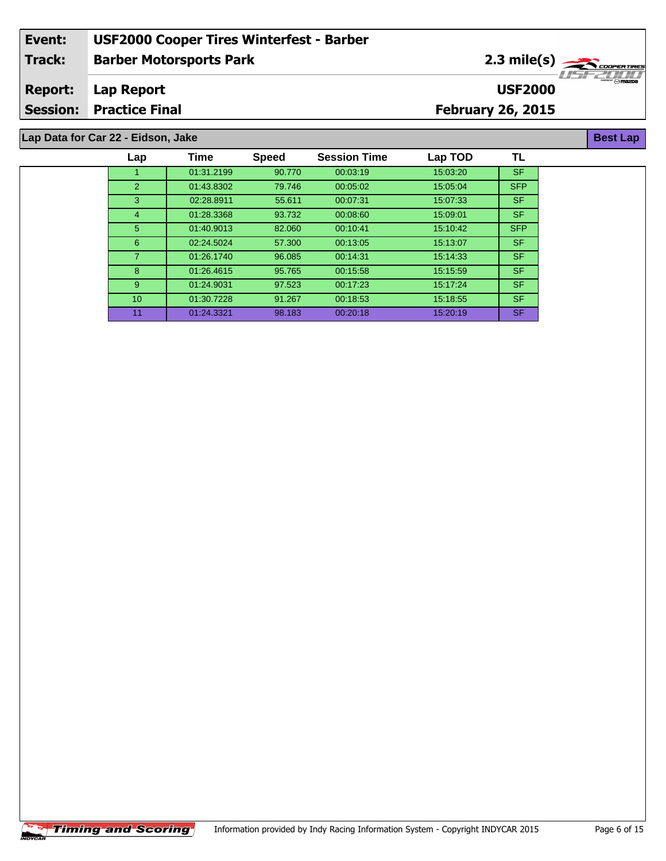#### **Barber Motorsports Park Lap Report February 26, 2015 Event: USF2000 Cooper Tires Winterfest - Barber Track: Report: Session: Practice Final USF2000** 2.3 mile(s) **Best Lap Lap Data for Car 22 - Eidson, Jake**

| Time<br><b>TL</b><br><b>Session Time</b><br>Lap TOD<br><b>Speed</b><br>Lap<br><b>SF</b><br>01:31.2199<br>00:03:19<br>15:03:20<br>90.770<br><b>SFP</b><br>$\overline{2}$<br>01:43.8302<br>15:05:04<br>79.746<br>00:05:02<br><b>SF</b><br>3<br>02:28.8911<br>00:07:31<br>15:07:33<br>55.611<br><b>SF</b><br>01:28.3368<br>93.732<br>00:08:60<br>15:09:01<br>4<br><b>SFP</b><br>5 <sup>5</sup><br>01:40.9013<br>15:10:42<br>82.060<br>00:10:41<br><b>SF</b><br>6<br>02:24.5024<br>57,300<br>00:13:05<br>15:13:07<br><b>SF</b><br>01:26.1740<br>96.085<br>15:14:33<br>00:14:31<br><b>SF</b><br>8<br>01:26.4615<br>15:15:59<br>95.765<br>00:15:58<br><b>SF</b><br>9<br>01:24.9031<br>97.523<br>15:17:24<br>00:17:23<br><b>SF</b><br>01:30.7228<br>10 <sup>°</sup><br>15:18:55<br>91.267<br>00:18:53<br><b>SF</b><br>01:24.3321<br>98.183<br>11<br>00:20:18<br>15:20:19 |  |  |  |  |
|-------------------------------------------------------------------------------------------------------------------------------------------------------------------------------------------------------------------------------------------------------------------------------------------------------------------------------------------------------------------------------------------------------------------------------------------------------------------------------------------------------------------------------------------------------------------------------------------------------------------------------------------------------------------------------------------------------------------------------------------------------------------------------------------------------------------------------------------------------------------|--|--|--|--|
|                                                                                                                                                                                                                                                                                                                                                                                                                                                                                                                                                                                                                                                                                                                                                                                                                                                                   |  |  |  |  |
|                                                                                                                                                                                                                                                                                                                                                                                                                                                                                                                                                                                                                                                                                                                                                                                                                                                                   |  |  |  |  |
|                                                                                                                                                                                                                                                                                                                                                                                                                                                                                                                                                                                                                                                                                                                                                                                                                                                                   |  |  |  |  |
|                                                                                                                                                                                                                                                                                                                                                                                                                                                                                                                                                                                                                                                                                                                                                                                                                                                                   |  |  |  |  |
|                                                                                                                                                                                                                                                                                                                                                                                                                                                                                                                                                                                                                                                                                                                                                                                                                                                                   |  |  |  |  |
|                                                                                                                                                                                                                                                                                                                                                                                                                                                                                                                                                                                                                                                                                                                                                                                                                                                                   |  |  |  |  |
|                                                                                                                                                                                                                                                                                                                                                                                                                                                                                                                                                                                                                                                                                                                                                                                                                                                                   |  |  |  |  |
|                                                                                                                                                                                                                                                                                                                                                                                                                                                                                                                                                                                                                                                                                                                                                                                                                                                                   |  |  |  |  |
|                                                                                                                                                                                                                                                                                                                                                                                                                                                                                                                                                                                                                                                                                                                                                                                                                                                                   |  |  |  |  |
|                                                                                                                                                                                                                                                                                                                                                                                                                                                                                                                                                                                                                                                                                                                                                                                                                                                                   |  |  |  |  |
|                                                                                                                                                                                                                                                                                                                                                                                                                                                                                                                                                                                                                                                                                                                                                                                                                                                                   |  |  |  |  |
|                                                                                                                                                                                                                                                                                                                                                                                                                                                                                                                                                                                                                                                                                                                                                                                                                                                                   |  |  |  |  |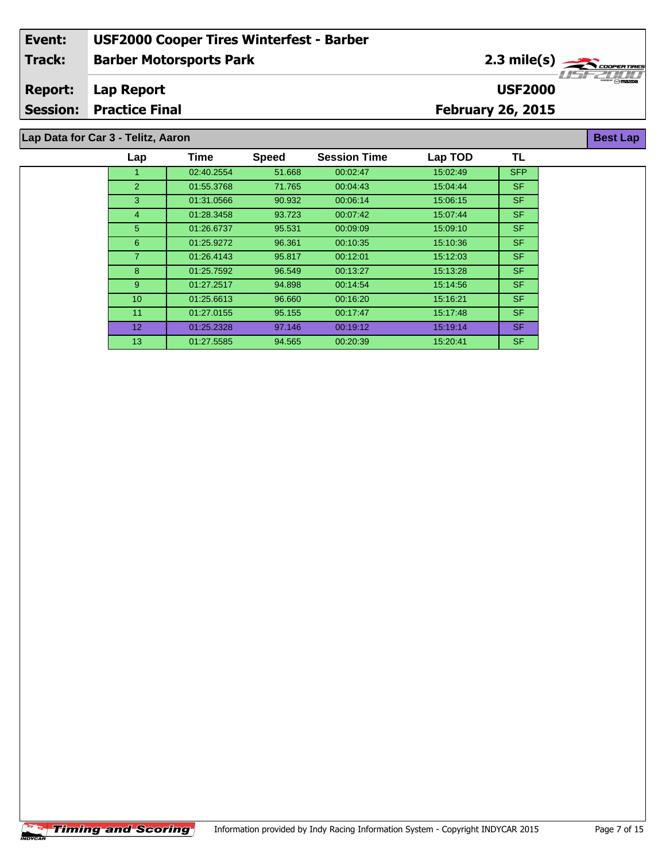#### **Barber Motorsports Park Lap Report February 26, 2015 Event: USF2000 Cooper Tires Winterfest - Barber Track: Report: Session: Practice Final USF2000** 2.3 mile(s) **Best Lap Lap Data for Car 3 - Telitz, Aaron**

### 1 02:40.2554 51.668 00:02:47 15:02:49 SFP 2 01:55.3768 71.765 00:04:43 15:04:44 SF 3 01:31.0566 90.932 00:06:14 15:06:15 SF 4 01:28.3458 93.723 00:07:42 15:07:44 SF 5 01:26.6737 95.531 00:09:09 15:09:10 SF 6 01:25.9272 96.361 00:10:35 15:10:36 SF 7 01:26.4143 95.817 00:12:01 15:12:03 SF 8 01:25.7592 96.549 00:13:27 15:13:28 SF 9 01:27.2517 94.898 00:14:54 15:14:56 SF 10 01:25.6613 96.660 00:16:20 15:16:21 SF 11 01:27.0155 95.155 00:17:47 15:17:48 SF 12 01:25.2328 97.146 00:19:12 15:19:14 SF 13 01:27.5585 94.565 00:20:39 15:20:41 SF **Lap Time Speed Session Time Lap TOD TL**

÷.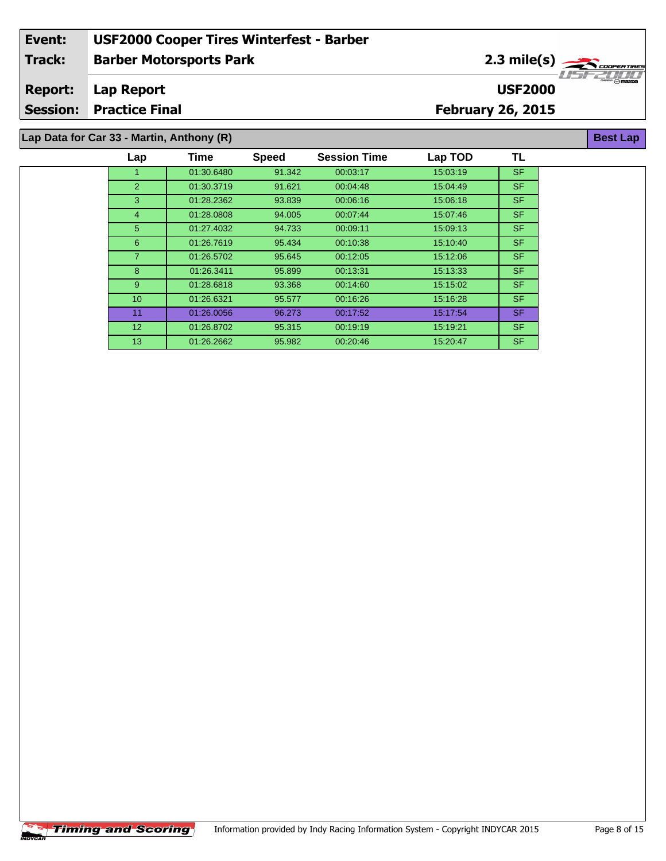#### **Barber Motorsports Park Lap Report February 26, 2015 Event: USF2000 Cooper Tires Winterfest - Barber Track: Report: Session: Practice Final USF2000** 2.3 mile(s) **Best Lap Lap Data for Car 33 - Martin, Anthony (R)**

| Lap             | Time       | <b>Speed</b> | <b>Session Time</b> | Lap TOD  | TL        |
|-----------------|------------|--------------|---------------------|----------|-----------|
|                 | 01:30.6480 | 91.342       | 00:03:17            | 15:03:19 | <b>SF</b> |
| 2               | 01:30.3719 | 91.621       | 00:04:48            | 15:04:49 | SF.       |
| 3               | 01:28.2362 | 93.839       | 00:06:16            | 15:06:18 | SF.       |
| 4               | 01:28.0808 | 94.005       | 00:07:44            | 15:07:46 | <b>SF</b> |
| 5 <sup>5</sup>  | 01:27.4032 | 94.733       | 00:09:11            | 15:09:13 | SF.       |
| $6^{\circ}$     | 01:26.7619 | 95.434       | 00:10:38            | 15:10:40 | SF.       |
| 7.              | 01:26.5702 | 95.645       | 00:12:05            | 15:12:06 | SF.       |
| 8               | 01:26.3411 | 95.899       | 00:13:31            | 15:13:33 | SF.       |
| 9               | 01:28.6818 | 93.368       | 00:14:60            | 15:15:02 | SF.       |
| 10 <sup>°</sup> | 01:26.6321 | 95.577       | 00:16:26            | 15:16:28 | SF.       |
| 11              | 01:26.0056 | 96.273       | 00:17:52            | 15:17:54 | SF.       |
| 12 <sup>2</sup> | 01:26.8702 | 95.315       | 00:19:19            | 15:19:21 | <b>SF</b> |
| 13              | 01:26.2662 | 95.982       | 00:20:46            | 15:20:47 | SF.       |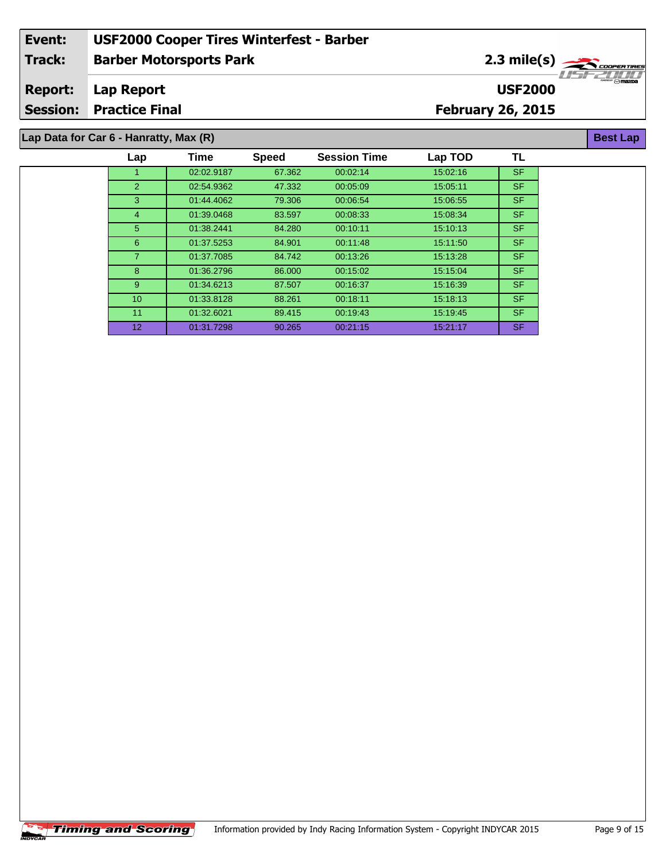#### **Barber Motorsports Park Lap Report February 26, 2015 Event: USF2000 Cooper Tires Winterfest - Barber Track: Report: Session: Practice Final USF2000** 2.3 mile(s) **Best Lap Lap Data for Car 6 - Hanratty, Max (R)**

| Lap         | Time       | <b>Speed</b> | <b>Session Time</b> | Lap TOD  | ΤL        |
|-------------|------------|--------------|---------------------|----------|-----------|
|             | 02:02.9187 | 67.362       | 00:02:14            | 15:02:16 | <b>SF</b> |
| 2           | 02:54.9362 | 47.332       | 00:05:09            | 15:05:11 | SF.       |
| 3           | 01:44.4062 | 79.306       | 00:06:54            | 15:06:55 | <b>SF</b> |
| 4           | 01:39.0468 | 83.597       | 00:08:33            | 15:08:34 | SF.       |
| 5           | 01:38.2441 | 84.280       | 00:10:11            | 15:10:13 | SF.       |
| 6           | 01:37.5253 | 84.901       | 00:11:48            | 15:11:50 | SF.       |
|             | 01:37.7085 | 84.742       | 00:13:26            | 15:13:28 | <b>SF</b> |
| 8           | 01:36.2796 | 86,000       | 00:15:02            | 15:15:04 | <b>SF</b> |
| $9^{\circ}$ | 01:34.6213 | 87.507       | 00:16:37            | 15:16:39 | SF.       |
| 10          | 01:33.8128 | 88.261       | 00:18:11            | 15:18:13 | SF.       |
| 11          | 01:32.6021 | 89.415       | 00:19:43            | 15:19:45 | SF.       |
| 12          | 01:31.7298 | 90.265       | 00:21:15            | 15:21:17 | SF.       |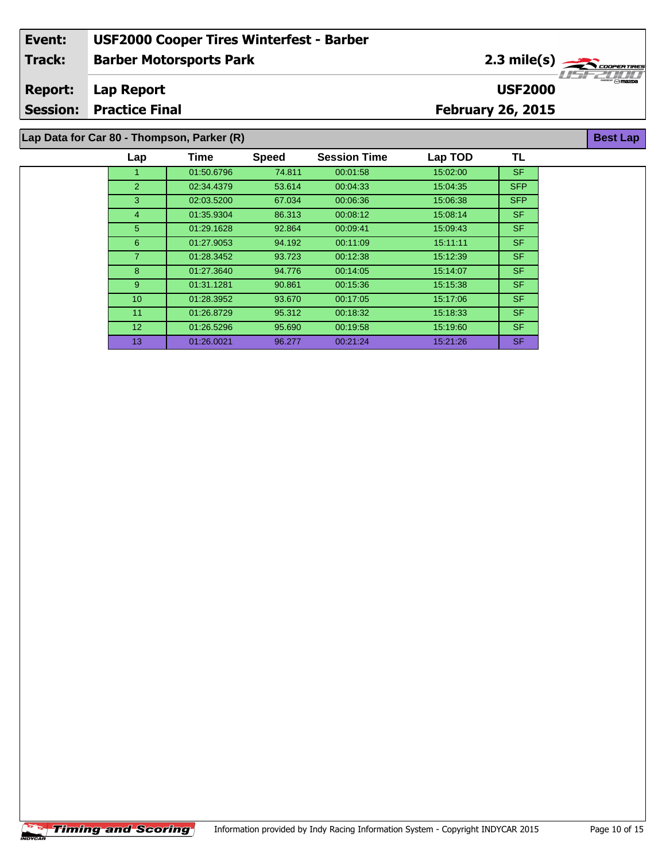#### **Barber Motorsports Park Lap Report February 26, 2015 Event: USF2000 Cooper Tires Winterfest - Barber Track: Report: Session: Practice Final USF2000** 2.3 mile(s) **Best Lap**

### **Lap Data for Car 80 - Thompson, Parker (R)**

| Lap             | Time       | <b>Speed</b> | <b>Session Time</b> | Lap TOD  | TL         |
|-----------------|------------|--------------|---------------------|----------|------------|
|                 | 01:50.6796 | 74.811       | 00:01:58            | 15:02:00 | <b>SF</b>  |
| 2               | 02:34.4379 | 53.614       | 00:04:33            | 15.04:35 | <b>SFP</b> |
| 3               | 02:03.5200 | 67.034       | 00:06:36            | 15:06:38 | <b>SFP</b> |
| $\overline{4}$  | 01:35.9304 | 86.313       | 00:08:12            | 15:08:14 | SF.        |
| 5               | 01:29.1628 | 92.864       | 00:09:41            | 15:09:43 | SF.        |
| 6               | 01:27.9053 | 94.192       | 00:11:09            | 15:11:11 | SF.        |
| $\overline{7}$  | 01:28.3452 | 93.723       | 00:12:38            | 15:12:39 | SF.        |
| 8               | 01:27.3640 | 94.776       | 00:14:05            | 15:14:07 | SF.        |
| 9               | 01:31.1281 | 90.861       | 00:15:36            | 15.15.38 | SF.        |
| 10 <sup>°</sup> | 01:28.3952 | 93.670       | 00:17:05            | 15:17:06 | SF.        |
| 11              | 01:26.8729 | 95.312       | 00:18:32            | 15:18:33 | SF.        |
| 12 <sup>2</sup> | 01:26.5296 | 95.690       | 00:19:58            | 15.19.60 | SF.        |
| 13              | 01:26.0021 | 96.277       | 00:21:24            | 15.21.26 | SF.        |
|                 |            |              |                     |          |            |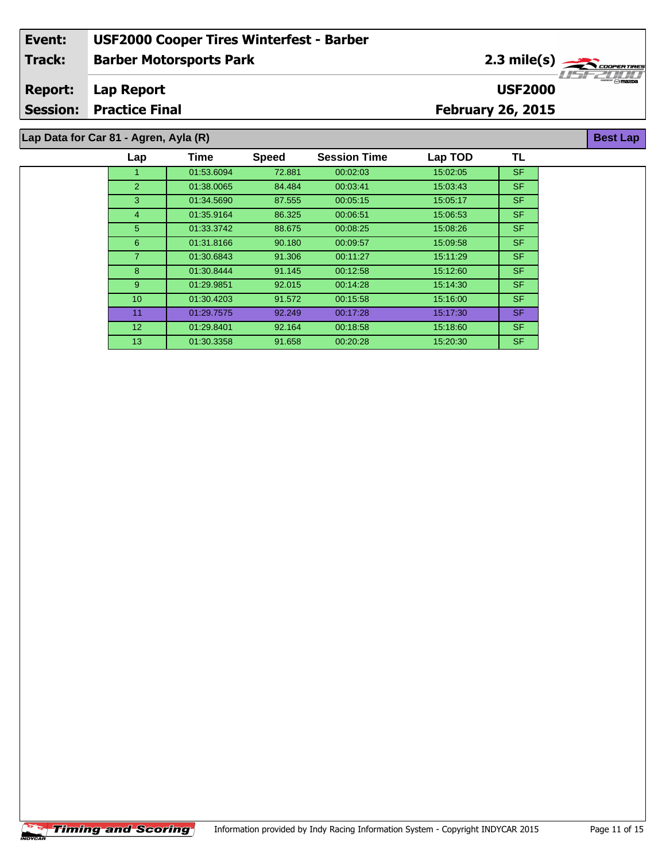#### **Barber Motorsports Park Lap Report February 26, 2015 Event: USF2000 Cooper Tires Winterfest - Barber Track: Report: Session: Practice Final USF2000** 2.3 mile(s) **Best Lap Lap Data for Car 81 - Agren, Ayla (R)**

| Lap             | <b>Time</b> | <b>Speed</b> | <b>Session Time</b> | Lap TOD  | TL        |
|-----------------|-------------|--------------|---------------------|----------|-----------|
|                 | 01:53.6094  | 72.881       | 00:02:03            | 15:02:05 | <b>SF</b> |
| $\overline{2}$  | 01:38.0065  | 84.484       | 00:03:41            | 15:03:43 | SF.       |
| 3               | 01:34.5690  | 87.555       | 00:05:15            | 15:05:17 | SF.       |
| 4               | 01:35.9164  | 86.325       | 00:06:51            | 15:06:53 | SF.       |
| 5               | 01:33.3742  | 88.675       | 00:08:25            | 15:08:26 | SF.       |
| 6               | 01:31.8166  | 90.180       | 00:09:57            | 15:09:58 | SF.       |
| 7               | 01:30.6843  | 91.306       | 00:11:27            | 15:11:29 | <b>SF</b> |
| 8               | 01:30.8444  | 91.145       | 00:12:58            | 15:12:60 | SF.       |
| 9               | 01:29.9851  | 92.015       | 00:14:28            | 15:14:30 | SF.       |
| 10 <sup>1</sup> | 01:30.4203  | 91.572       | 00:15:58            | 15:16:00 | SF.       |
| 11              | 01:29.7575  | 92.249       | 00:17:28            | 15.17:30 | <b>SF</b> |
| 12 <sup>2</sup> | 01:29.8401  | 92.164       | 00:18:58            | 15:18:60 | SF.       |
| 13              | 01:30.3358  | 91.658       | 00:20:28            | 15:20:30 | SF.       |
|                 |             |              |                     |          |           |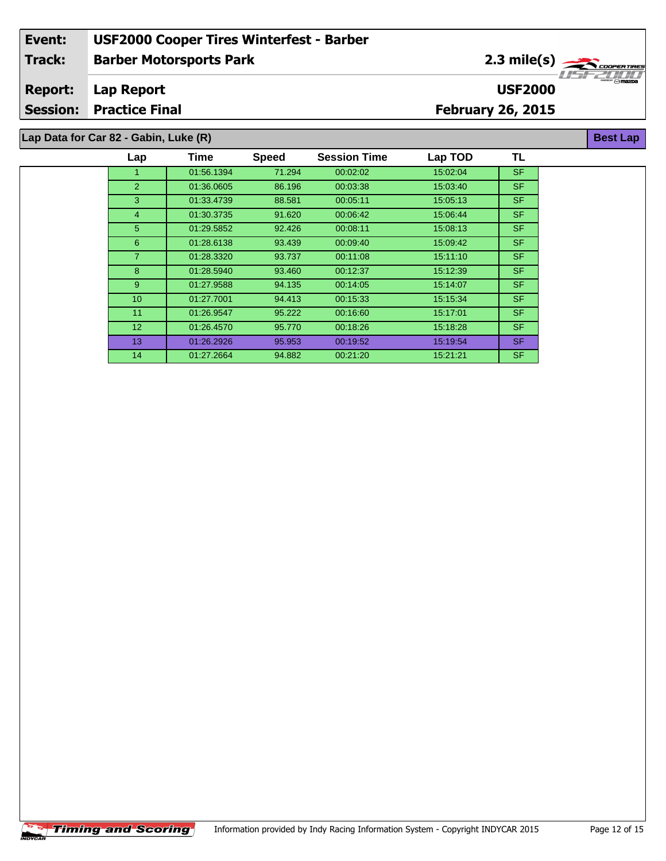#### **Barber Motorsports Park Lap Report February 26, 2015 Event: USF2000 Cooper Tires Winterfest - Barber Track: Report: Session: Practice Final USF2000** 2.3 mile(s) **Best Lap Lap Data for Car 82 - Gabin, Luke (R)**

| Lap             | Time       | <b>Speed</b> | <b>Session Time</b> | Lap TOD  | TL        |
|-----------------|------------|--------------|---------------------|----------|-----------|
|                 | 01:56.1394 | 71.294       | 00:02:02            | 15:02:04 | <b>SF</b> |
| $\overline{2}$  | 01:36.0605 | 86.196       | 00:03:38            | 15:03:40 | SF.       |
| 3               | 01:33.4739 | 88.581       | 00:05:11            | 15:05:13 | SF.       |
| 4               | 01:30.3735 | 91.620       | 00:06:42            | 15:06:44 | SF.       |
| 5.              | 01:29.5852 | 92.426       | 00:08:11            | 15:08:13 | SF.       |
| 6               | 01:28.6138 | 93.439       | 00:09:40            | 15:09:42 | SF.       |
| $\overline{7}$  | 01:28.3320 | 93.737       | 00:11:08            | 15:11:10 | SF.       |
| 8               | 01:28.5940 | 93.460       | 00:12:37            | 15:12:39 | SF.       |
| 9               | 01:27.9588 | 94.135       | 00:14:05            | 15:14:07 | SF.       |
| 10 <sup>°</sup> | 01:27.7001 | 94.413       | 00:15:33            | 15:15:34 | SF.       |
| 11              | 01:26.9547 | 95.222       | 00:16:60            | 15:17:01 | SF.       |
| 12 <sup>2</sup> | 01:26.4570 | 95.770       | 00:18:26            | 15:18:28 | SF.       |
| 13              | 01:26.2926 | 95.953       | 00:19:52            | 15:19:54 | SF.       |
| 14              | 01:27.2664 | 94.882       | 00:21:20            | 15:21:21 | SF.       |
|                 |            |              |                     |          |           |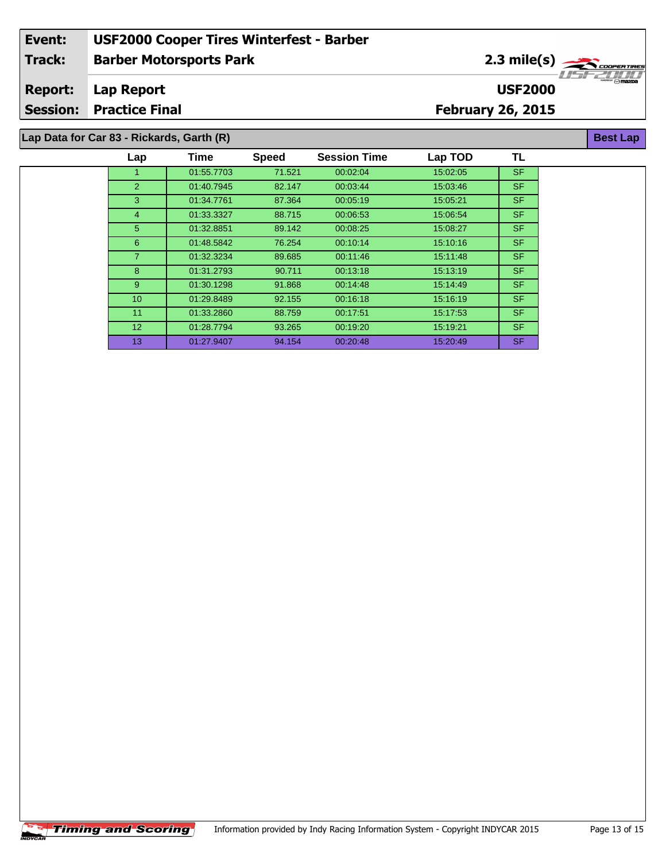#### **Barber Motorsports Park Lap Report February 26, 2015 Event: USF2000 Cooper Tires Winterfest - Barber Track: Report: Session: Practice Final USF2000** 2.3 mile(s)

### **Lap Data for Car 83 - Rickards, Garth (R)**

| Lap             | <b>Time</b> | <b>Speed</b> | <b>Session Time</b> | Lap TOD  | TL        |
|-----------------|-------------|--------------|---------------------|----------|-----------|
|                 | 01:55.7703  | 71.521       | 00:02:04            | 15:02:05 | <b>SF</b> |
| 2               | 01:40.7945  | 82.147       | 00:03:44            | 15:03:46 | SF.       |
| 3               | 01:34.7761  | 87.364       | 00:05:19            | 15:05:21 | <b>SF</b> |
| $\overline{4}$  | 01:33.3327  | 88.715       | 00:06:53            | 15:06:54 | <b>SF</b> |
| 5               | 01:32.8851  | 89.142       | 00:08:25            | 15:08:27 | SF.       |
| 6               | 01:48.5842  | 76.254       | 00:10:14            | 15:10:16 | <b>SF</b> |
| 7               | 01:32.3234  | 89.685       | 00:11:46            | 15:11:48 | <b>SF</b> |
| 8               | 01:31.2793  | 90.711       | 00:13:18            | 15:13:19 | SF.       |
| 9               | 01:30.1298  | 91.868       | 00:14:48            | 15:14:49 | SF.       |
| 10 <sup>°</sup> | 01:29.8489  | 92.155       | 00:16:18            | 15:16:19 | SF.       |
| 11              | 01:33.2860  | 88.759       | 00.17:51            | 15:17:53 | SF.       |
| 12 <sup>2</sup> | 01:28.7794  | 93.265       | 00:19:20            | 15:19:21 | <b>SF</b> |
| 13              | 01:27.9407  | 94.154       | 00:20:48            | 15:20:49 | SF.       |
|                 |             |              |                     |          |           |

**Best Lap**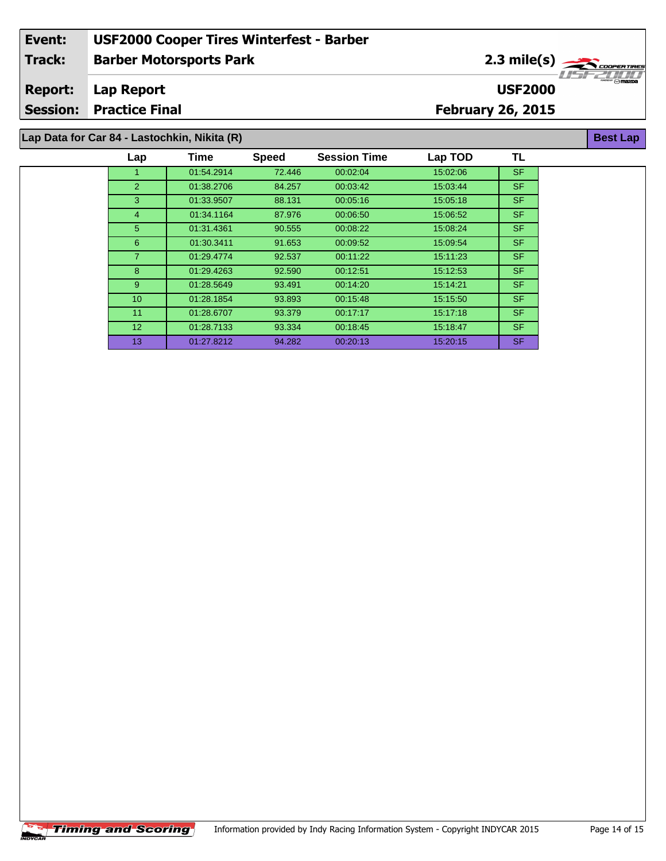#### **Barber Motorsports Park Lap Report February 26, 2015 Event: USF2000 Cooper Tires Winterfest - Barber Track: Report: Session: Practice Final USF2000** 2.3 mile(s) **Best Lap**

# **Lap Data for Car 84 - Lastochkin, Nikita (R)**

| Lap             | Time       | <b>Speed</b> | <b>Session Time</b> | Lap TOD  | TL        |
|-----------------|------------|--------------|---------------------|----------|-----------|
|                 | 01:54.2914 | 72.446       | 00:02:04            | 15:02:06 | <b>SF</b> |
| 2               | 01:38.2706 | 84.257       | 00:03:42            | 15:03:44 | <b>SF</b> |
| 3               | 01:33.9507 | 88.131       | 00:05:16            | 15:05:18 | <b>SF</b> |
| $\overline{4}$  | 01:34.1164 | 87.976       | 00:06:50            | 15:06:52 | <b>SF</b> |
| 5               | 01:31.4361 | 90.555       | 00:08:22            | 15:08:24 | <b>SF</b> |
| 6               | 01:30.3411 | 91.653       | 00:09:52            | 15:09:54 | <b>SF</b> |
| $\overline{7}$  | 01:29.4774 | 92.537       | 00:11:22            | 15:11:23 | <b>SF</b> |
| 8               | 01:29.4263 | 92.590       | 00:12:51            | 15:12:53 | SF.       |
| 9               | 01:28.5649 | 93.491       | 00:14:20            | 15:14:21 | <b>SF</b> |
| 10              | 01:28.1854 | 93.893       | 00:15:48            | 15.15.50 | <b>SF</b> |
| 11              | 01:28.6707 | 93.379       | 00:17:17            | 15:17:18 | <b>SF</b> |
| 12 <sup>2</sup> | 01:28.7133 | 93.334       | 00:18:45            | 15:18:47 | <b>SF</b> |
| 13              | 01:27.8212 | 94.282       | 00:20:13            | 15:20:15 | <b>SF</b> |